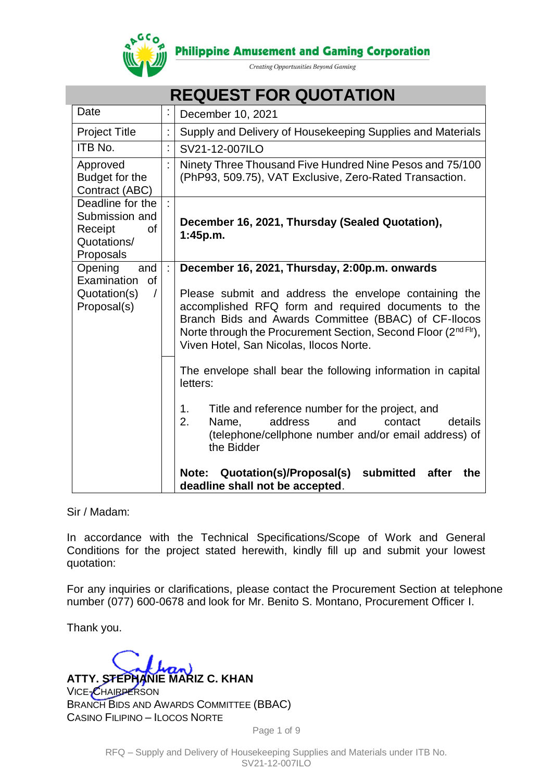

**Philippine Amusement and Gaming Corporation** 

Creating Opportunities Beyond Gaming

| <b>REQUEST FOR QUOTATION</b>                                                    |   |                                                                                                                                                                                                                                                                                                                                                                                                                                                                                                                                                                                                                   |  |
|---------------------------------------------------------------------------------|---|-------------------------------------------------------------------------------------------------------------------------------------------------------------------------------------------------------------------------------------------------------------------------------------------------------------------------------------------------------------------------------------------------------------------------------------------------------------------------------------------------------------------------------------------------------------------------------------------------------------------|--|
| Date                                                                            |   | December 10, 2021                                                                                                                                                                                                                                                                                                                                                                                                                                                                                                                                                                                                 |  |
| <b>Project Title</b>                                                            |   | Supply and Delivery of Housekeeping Supplies and Materials                                                                                                                                                                                                                                                                                                                                                                                                                                                                                                                                                        |  |
| ITB No.                                                                         | Ì | SV21-12-007ILO                                                                                                                                                                                                                                                                                                                                                                                                                                                                                                                                                                                                    |  |
| Approved<br>Budget for the<br>Contract (ABC)                                    |   | Ninety Three Thousand Five Hundred Nine Pesos and 75/100<br>(PhP93, 509.75), VAT Exclusive, Zero-Rated Transaction.                                                                                                                                                                                                                                                                                                                                                                                                                                                                                               |  |
| Deadline for the<br>Submission and<br>Receipt<br>οf<br>Quotations/<br>Proposals | ċ | December 16, 2021, Thursday (Sealed Quotation),<br>1:45p.m.                                                                                                                                                                                                                                                                                                                                                                                                                                                                                                                                                       |  |
| Opening<br>and<br>Examination<br>of<br>Quotation(s)<br>$\prime$<br>Proposal(s)  |   | December 16, 2021, Thursday, 2:00p.m. onwards<br>Please submit and address the envelope containing the<br>accomplished RFQ form and required documents to the<br>Branch Bids and Awards Committee (BBAC) of CF-Ilocos<br>Norte through the Procurement Section, Second Floor (2 <sup>nd Flr</sup> ),<br>Viven Hotel, San Nicolas, Ilocos Norte.<br>The envelope shall bear the following information in capital<br>letters:<br>Title and reference number for the project, and<br>1.<br>2.<br>address<br>and<br>details<br>Name,<br>contact<br>(telephone/cellphone number and/or email address) of<br>the Bidder |  |
|                                                                                 |   | submitted<br>Quotation(s)/Proposal(s)<br>Note:<br>after<br>the<br>deadline shall not be accepted.                                                                                                                                                                                                                                                                                                                                                                                                                                                                                                                 |  |

Sir / Madam:

In accordance with the Technical Specifications/Scope of Work and General Conditions for the project stated herewith, kindly fill up and submit your lowest quotation:

For any inquiries or clarifications, please contact the Procurement Section at telephone number (077) 600-0678 and look for Mr. Benito S. Montano, Procurement Officer I.

Thank you.

**ATTY. STEPHANIE MARIZ C. KHAN**

VICE-CHAIRPERSON BRANCH BIDS AND AWARDS COMMITTEE (BBAC) CASINO FILIPINO – ILOCOS NORTE

Page 1 of 9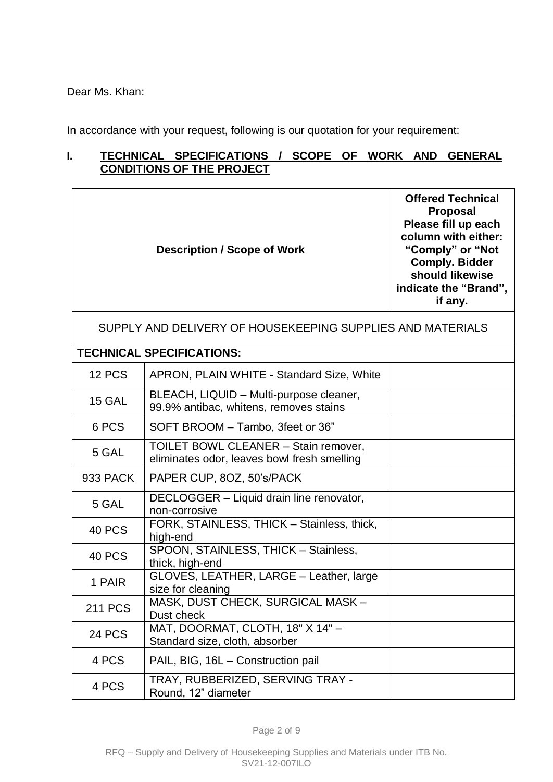Dear Ms. Khan:

In accordance with your request, following is our quotation for your requirement:

## **I. TECHNICAL SPECIFICATIONS / SCOPE OF WORK AND GENERAL CONDITIONS OF THE PROJECT**

|                                                            | <b>Offered Technical</b><br><b>Proposal</b><br>Please fill up each<br>column with either:<br>"Comply" or "Not<br><b>Comply. Bidder</b><br>should likewise<br>indicate the "Brand",<br>if any. |  |  |  |
|------------------------------------------------------------|-----------------------------------------------------------------------------------------------------------------------------------------------------------------------------------------------|--|--|--|
| SUPPLY AND DELIVERY OF HOUSEKEEPING SUPPLIES AND MATERIALS |                                                                                                                                                                                               |  |  |  |
|                                                            | <b>TECHNICAL SPECIFICATIONS:</b>                                                                                                                                                              |  |  |  |
| 12 PCS                                                     | APRON, PLAIN WHITE - Standard Size, White                                                                                                                                                     |  |  |  |
| 15 GAL                                                     | BLEACH, LIQUID - Multi-purpose cleaner,<br>99.9% antibac, whitens, removes stains                                                                                                             |  |  |  |
| 6 PCS                                                      | SOFT BROOM - Tambo, 3feet or 36"                                                                                                                                                              |  |  |  |
| 5 GAL                                                      | TOILET BOWL CLEANER - Stain remover,<br>eliminates odor, leaves bowl fresh smelling                                                                                                           |  |  |  |
| <b>933 PACK</b>                                            | PAPER CUP, 80Z, 50's/PACK                                                                                                                                                                     |  |  |  |
| 5 GAL                                                      | DECLOGGER - Liquid drain line renovator,<br>non-corrosive                                                                                                                                     |  |  |  |
| <b>40 PCS</b>                                              | FORK, STAINLESS, THICK - Stainless, thick,<br>high-end                                                                                                                                        |  |  |  |
| <b>40 PCS</b>                                              | SPOON, STAINLESS, THICK - Stainless,<br>thick, high-end                                                                                                                                       |  |  |  |
| 1 PAIR                                                     | GLOVES, LEATHER, LARGE - Leather, large<br>size for cleaning                                                                                                                                  |  |  |  |
| 211 PCS                                                    | MASK, DUST CHECK, SURGICAL MASK -<br>Dust check                                                                                                                                               |  |  |  |
| <b>24 PCS</b>                                              | MAT, DOORMAT, CLOTH, 18" X 14" -<br>Standard size, cloth, absorber                                                                                                                            |  |  |  |
| 4 PCS                                                      | PAIL, BIG, 16L - Construction pail                                                                                                                                                            |  |  |  |
| 4 PCS                                                      | TRAY, RUBBERIZED, SERVING TRAY -<br>Round, 12" diameter                                                                                                                                       |  |  |  |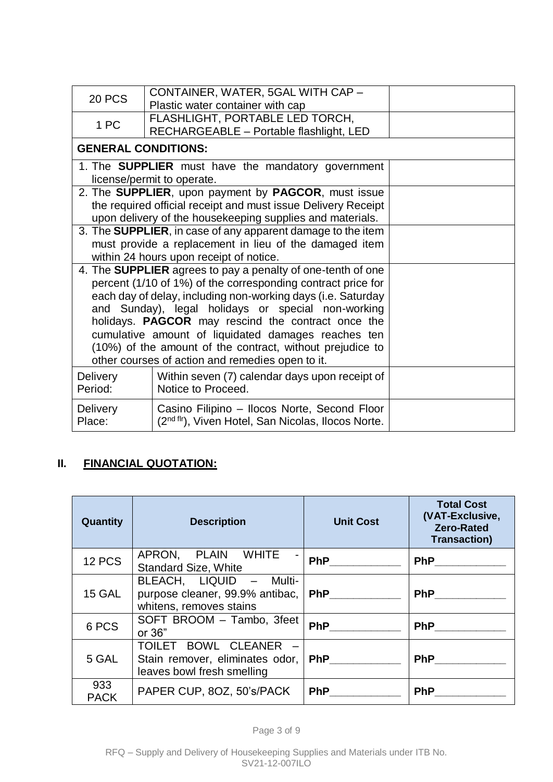| <b>20 PCS</b>                                             | CONTAINER, WATER, 5GAL WITH CAP -                                   |  |  |  |
|-----------------------------------------------------------|---------------------------------------------------------------------|--|--|--|
|                                                           | Plastic water container with cap                                    |  |  |  |
| 1 PC                                                      | FLASHLIGHT, PORTABLE LED TORCH,                                     |  |  |  |
|                                                           | RECHARGEABLE - Portable flashlight, LED                             |  |  |  |
| <b>GENERAL CONDITIONS:</b>                                |                                                                     |  |  |  |
|                                                           | 1. The <b>SUPPLIER</b> must have the mandatory government           |  |  |  |
|                                                           | license/permit to operate.                                          |  |  |  |
|                                                           | 2. The <b>SUPPLIER</b> , upon payment by <b>PAGCOR</b> , must issue |  |  |  |
|                                                           | the required official receipt and must issue Delivery Receipt       |  |  |  |
|                                                           | upon delivery of the housekeeping supplies and materials.           |  |  |  |
|                                                           | 3. The SUPPLIER, in case of any apparent damage to the item         |  |  |  |
|                                                           | must provide a replacement in lieu of the damaged item              |  |  |  |
|                                                           | within 24 hours upon receipt of notice.                             |  |  |  |
|                                                           | 4. The <b>SUPPLIER</b> agrees to pay a penalty of one-tenth of one  |  |  |  |
|                                                           | percent (1/10 of 1%) of the corresponding contract price for        |  |  |  |
|                                                           | each day of delay, including non-working days (i.e. Saturday        |  |  |  |
|                                                           | and Sunday), legal holidays or special non-working                  |  |  |  |
|                                                           | holidays. PAGCOR may rescind the contract once the                  |  |  |  |
| cumulative amount of liquidated damages reaches ten       |                                                                     |  |  |  |
| (10%) of the amount of the contract, without prejudice to |                                                                     |  |  |  |
| other courses of action and remedies open to it.          |                                                                     |  |  |  |
| Delivery                                                  | Within seven (7) calendar days upon receipt of                      |  |  |  |
| Period:                                                   | Notice to Proceed.                                                  |  |  |  |
|                                                           |                                                                     |  |  |  |
| <b>Delivery</b>                                           | Casino Filipino - Ilocos Norte, Second Floor                        |  |  |  |
| Place:                                                    | (2 <sup>nd flr</sup> ), Viven Hotel, San Nicolas, Ilocos Norte.     |  |  |  |

# **II. FINANCIAL QUOTATION:**

| Quantity           | <b>Description</b>                                                                     | <b>Unit Cost</b>     | <b>Total Cost</b><br>(VAT-Exclusive,<br><b>Zero-Rated</b><br><b>Transaction)</b> |
|--------------------|----------------------------------------------------------------------------------------|----------------------|----------------------------------------------------------------------------------|
| 12 PCS             | APRON, PLAIN WHITE<br><b>Standard Size, White</b>                                      |                      |                                                                                  |
| <b>15 GAL</b>      | BLEACH, LIQUID - Multi-<br>purpose cleaner, 99.9% antibac,<br>whitens, removes stains  | <b>PhP</b>           | <b>PhP</b>                                                                       |
| 6 PCS              | SOFT BROOM - Tambo, 3feet<br>or 36"                                                    | PhP __________       | <b>PhP</b>                                                                       |
| 5 GAL              | TOILET BOWL CLEANER -<br>Stain remover, eliminates odor,<br>leaves bowl fresh smelling | <b>PhP Example 2</b> | <b>PhP</b>                                                                       |
| 933<br><b>PACK</b> | PAPER CUP, 8OZ, 50's/PACK                                                              | <b>PhP</b>           | <b>PhP</b>                                                                       |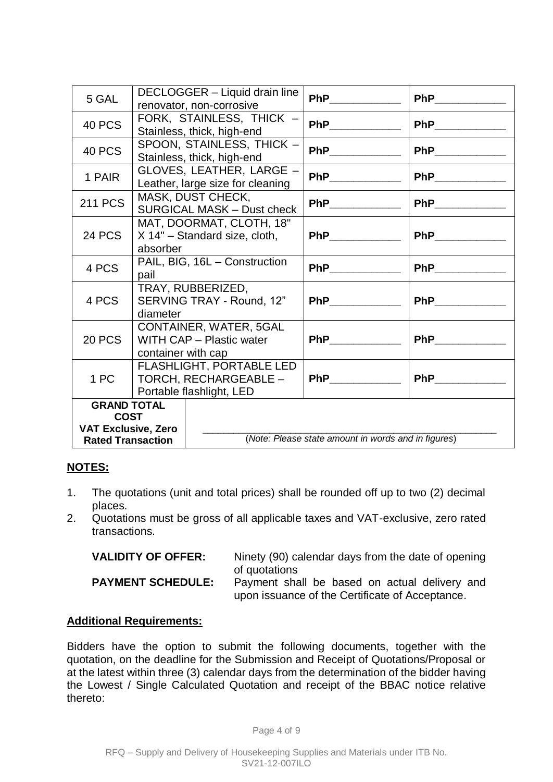| 5 GAL                                     | DECLOGGER - Liquid drain line<br>renovator, non-corrosive                     |  | PhP_____________                                                                                                                                                                                                                    |                                                                                                                                                                                                                                     |
|-------------------------------------------|-------------------------------------------------------------------------------|--|-------------------------------------------------------------------------------------------------------------------------------------------------------------------------------------------------------------------------------------|-------------------------------------------------------------------------------------------------------------------------------------------------------------------------------------------------------------------------------------|
| <b>40 PCS</b>                             | FORK, STAINLESS, THICK -<br>Stainless, thick, high-end                        |  | PhP______________                                                                                                                                                                                                                   | PhP_____________                                                                                                                                                                                                                    |
| 40 PCS                                    | SPOON, STAINLESS, THICK -<br>Stainless, thick, high-end                       |  | <b>PhP</b>                                                                                                                                                                                                                          |                                                                                                                                                                                                                                     |
| 1 PAIR                                    | GLOVES, LEATHER, LARGE -<br>Leather, large size for cleaning                  |  |                                                                                                                                                                                                                                     | PhP______________                                                                                                                                                                                                                   |
| <b>211 PCS</b>                            | MASK, DUST CHECK,<br><b>SURGICAL MASK - Dust check</b>                        |  |                                                                                                                                                                                                                                     | <b>PhP</b> Phillips and the same of the same of the same of the same of the same of the same of the same of the same of the same of the same of the same of the same of the same of the same of the same of the same of the same of |
| <b>24 PCS</b>                             | MAT, DOORMAT, CLOTH, 18"<br>X 14" - Standard size, cloth,<br>absorber         |  | <b>PhP</b> Phillips and the same of the same of the same of the same of the same of the same of the same of the same of the same of the same of the same of the same of the same of the same of the same of the same of the same of |                                                                                                                                                                                                                                     |
| 4 PCS                                     | PAIL, BIG, 16L - Construction<br>pail                                         |  |                                                                                                                                                                                                                                     |                                                                                                                                                                                                                                     |
| 4 PCS                                     | TRAY, RUBBERIZED,<br>SERVING TRAY - Round, 12"<br>diameter                    |  |                                                                                                                                                                                                                                     | <b>PhP</b>                                                                                                                                                                                                                          |
| <b>20 PCS</b>                             | CONTAINER, WATER, 5GAL<br>WITH CAP - Plastic water<br>container with cap      |  |                                                                                                                                                                                                                                     |                                                                                                                                                                                                                                     |
| 1 PC                                      | FLASHLIGHT, PORTABLE LED<br>TORCH, RECHARGEABLE -<br>Portable flashlight, LED |  | $PhP$ ______________                                                                                                                                                                                                                | <b>PhP</b>                                                                                                                                                                                                                          |
| <b>GRAND TOTAL</b>                        |                                                                               |  |                                                                                                                                                                                                                                     |                                                                                                                                                                                                                                     |
| <b>COST</b><br><b>VAT Exclusive, Zero</b> |                                                                               |  |                                                                                                                                                                                                                                     |                                                                                                                                                                                                                                     |
| <b>Rated Transaction</b>                  |                                                                               |  | (Note: Please state amount in words and in figures)                                                                                                                                                                                 |                                                                                                                                                                                                                                     |

## **NOTES:**

- 1. The quotations (unit and total prices) shall be rounded off up to two (2) decimal places.
- 2. Quotations must be gross of all applicable taxes and VAT-exclusive, zero rated transactions.

| <b>VALIDITY OF OFFER:</b> | Ninety (90) calendar days from the date of opening                                                                |
|---------------------------|-------------------------------------------------------------------------------------------------------------------|
| <b>PAYMENT SCHEDULE:</b>  | of quotations<br>Payment shall be based on actual delivery and<br>upon issuance of the Certificate of Acceptance. |

## **Additional Requirements:**

Bidders have the option to submit the following documents, together with the quotation, on the deadline for the Submission and Receipt of Quotations/Proposal or at the latest within three (3) calendar days from the determination of the bidder having the Lowest / Single Calculated Quotation and receipt of the BBAC notice relative thereto: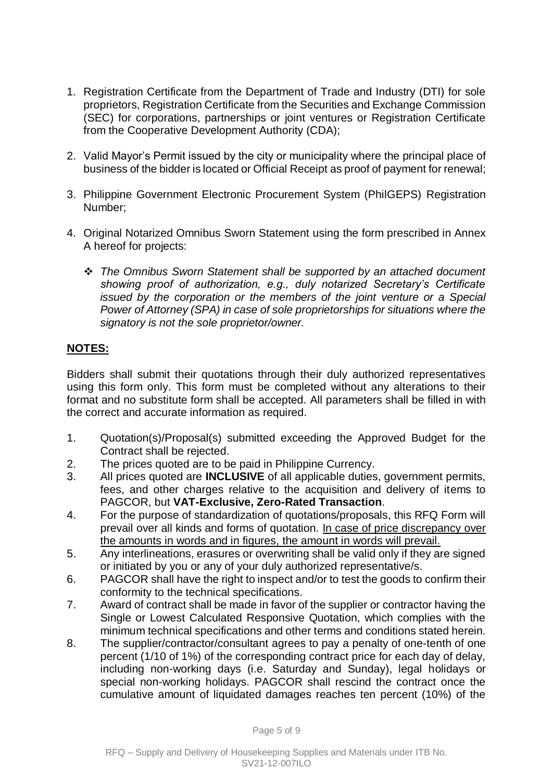- 1. Registration Certificate from the Department of Trade and Industry (DTI) for sole proprietors, Registration Certificate from the Securities and Exchange Commission (SEC) for corporations, partnerships or joint ventures or Registration Certificate from the Cooperative Development Authority (CDA);
- 2. Valid Mayor's Permit issued by the city or municipality where the principal place of business of the bidder is located or Official Receipt as proof of payment for renewal;
- 3. Philippine Government Electronic Procurement System (PhilGEPS) Registration Number;
- 4. Original Notarized Omnibus Sworn Statement using the form prescribed in Annex A hereof for projects:
	- *The Omnibus Sworn Statement shall be supported by an attached document showing proof of authorization, e.g., duly notarized Secretary's Certificate issued by the corporation or the members of the joint venture or a Special Power of Attorney (SPA) in case of sole proprietorships for situations where the signatory is not the sole proprietor/owner.*

## **NOTES:**

Bidders shall submit their quotations through their duly authorized representatives using this form only. This form must be completed without any alterations to their format and no substitute form shall be accepted. All parameters shall be filled in with the correct and accurate information as required.

- 1. Quotation(s)/Proposal(s) submitted exceeding the Approved Budget for the Contract shall be rejected.
- 2. The prices quoted are to be paid in Philippine Currency.
- 3. All prices quoted are **INCLUSIVE** of all applicable duties, government permits, fees, and other charges relative to the acquisition and delivery of items to PAGCOR, but **VAT-Exclusive, Zero-Rated Transaction**.
- 4. For the purpose of standardization of quotations/proposals, this RFQ Form will prevail over all kinds and forms of quotation. In case of price discrepancy over the amounts in words and in figures, the amount in words will prevail.
- 5. Any interlineations, erasures or overwriting shall be valid only if they are signed or initiated by you or any of your duly authorized representative/s.
- 6. PAGCOR shall have the right to inspect and/or to test the goods to confirm their conformity to the technical specifications.
- 7. Award of contract shall be made in favor of the supplier or contractor having the Single or Lowest Calculated Responsive Quotation, which complies with the minimum technical specifications and other terms and conditions stated herein.
- 8. The supplier/contractor/consultant agrees to pay a penalty of one-tenth of one percent (1/10 of 1%) of the corresponding contract price for each day of delay, including non-working days (i.e. Saturday and Sunday), legal holidays or special non-working holidays. PAGCOR shall rescind the contract once the cumulative amount of liquidated damages reaches ten percent (10%) of the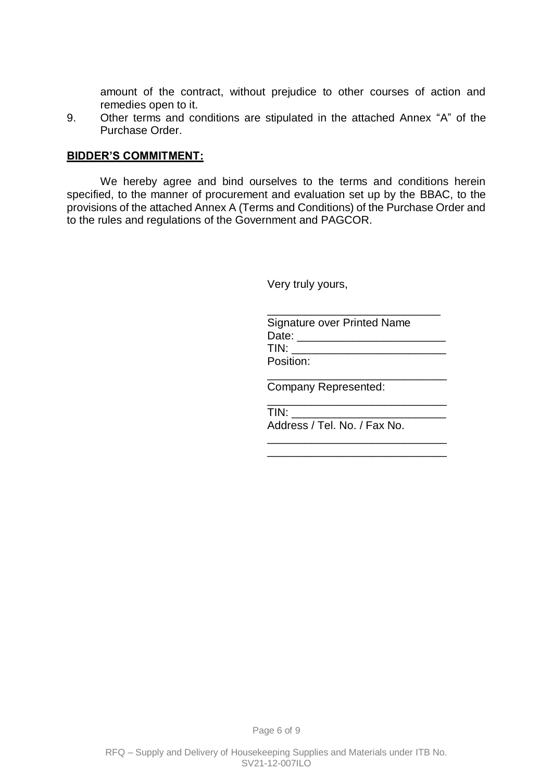amount of the contract, without prejudice to other courses of action and remedies open to it.

9. Other terms and conditions are stipulated in the attached Annex "A" of the Purchase Order.

#### **BIDDER'S COMMITMENT:**

We hereby agree and bind ourselves to the terms and conditions herein specified, to the manner of procurement and evaluation set up by the BBAC, to the provisions of the attached Annex A (Terms and Conditions) of the Purchase Order and to the rules and regulations of the Government and PAGCOR.

Very truly yours,

| Signature over Printed Name |  |
|-----------------------------|--|
| Date:                       |  |
| TIN:                        |  |
| Position:                   |  |

\_\_\_\_\_\_\_\_\_\_\_\_\_\_\_\_\_\_\_\_\_\_\_\_\_\_\_\_\_

Company Represented:

\_\_\_\_\_\_\_\_\_\_\_\_\_\_\_\_\_\_\_\_\_\_\_\_\_\_\_\_\_  $TIN:$ Address / Tel. No. / Fax No. \_\_\_\_\_\_\_\_\_\_\_\_\_\_\_\_\_\_\_\_\_\_\_\_\_\_\_\_\_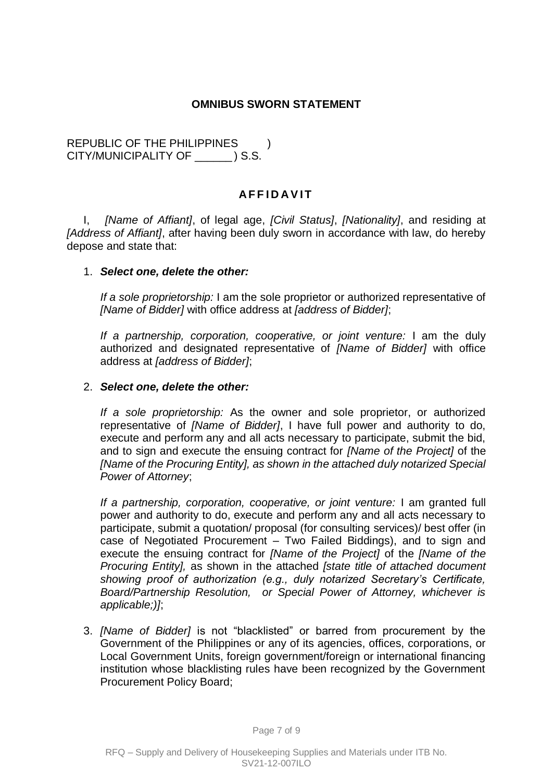## **OMNIBUS SWORN STATEMENT**

REPUBLIC OF THE PHILIPPINES ) CITY/MUNICIPALITY OF \_\_\_\_\_\_ ) S.S.

## **AF F I D A V I T**

I, *[Name of Affiant]*, of legal age, *[Civil Status]*, *[Nationality]*, and residing at *[Address of Affiant]*, after having been duly sworn in accordance with law, do hereby depose and state that:

#### 1. *Select one, delete the other:*

*If a sole proprietorship:* I am the sole proprietor or authorized representative of *[Name of Bidder]* with office address at *[address of Bidder]*;

*If a partnership, corporation, cooperative, or joint venture:* I am the duly authorized and designated representative of *[Name of Bidder]* with office address at *[address of Bidder]*;

#### 2. *Select one, delete the other:*

*If a sole proprietorship:* As the owner and sole proprietor, or authorized representative of *[Name of Bidder]*, I have full power and authority to do, execute and perform any and all acts necessary to participate, submit the bid, and to sign and execute the ensuing contract for *[Name of the Project]* of the *[Name of the Procuring Entity], as shown in the attached duly notarized Special Power of Attorney*;

*If a partnership, corporation, cooperative, or joint venture:* I am granted full power and authority to do, execute and perform any and all acts necessary to participate, submit a quotation/ proposal (for consulting services)/ best offer (in case of Negotiated Procurement – Two Failed Biddings), and to sign and execute the ensuing contract for *[Name of the Project]* of the *[Name of the Procuring Entity],* as shown in the attached *[state title of attached document showing proof of authorization (e.g., duly notarized Secretary's Certificate, Board/Partnership Resolution, or Special Power of Attorney, whichever is applicable;)]*;

3. *[Name of Bidder]* is not "blacklisted" or barred from procurement by the Government of the Philippines or any of its agencies, offices, corporations, or Local Government Units, foreign government/foreign or international financing institution whose blacklisting rules have been recognized by the Government Procurement Policy Board;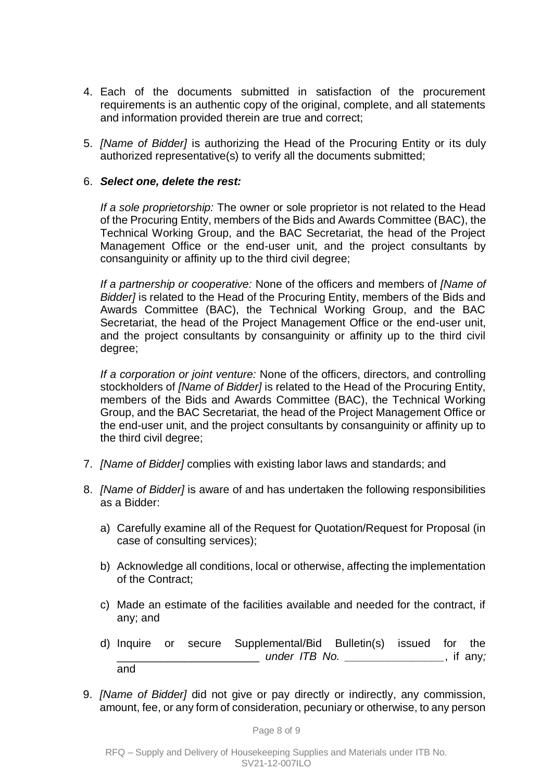- 4. Each of the documents submitted in satisfaction of the procurement requirements is an authentic copy of the original, complete, and all statements and information provided therein are true and correct;
- 5. *[Name of Bidder]* is authorizing the Head of the Procuring Entity or its duly authorized representative(s) to verify all the documents submitted;

#### 6. *Select one, delete the rest:*

*If a sole proprietorship:* The owner or sole proprietor is not related to the Head of the Procuring Entity, members of the Bids and Awards Committee (BAC), the Technical Working Group, and the BAC Secretariat, the head of the Project Management Office or the end-user unit, and the project consultants by consanguinity or affinity up to the third civil degree;

*If a partnership or cooperative:* None of the officers and members of *[Name of Bidder]* is related to the Head of the Procuring Entity, members of the Bids and Awards Committee (BAC), the Technical Working Group, and the BAC Secretariat, the head of the Project Management Office or the end-user unit, and the project consultants by consanguinity or affinity up to the third civil degree;

*If a corporation or joint venture:* None of the officers, directors, and controlling stockholders of *[Name of Bidder]* is related to the Head of the Procuring Entity, members of the Bids and Awards Committee (BAC), the Technical Working Group, and the BAC Secretariat, the head of the Project Management Office or the end-user unit, and the project consultants by consanguinity or affinity up to the third civil degree;

- 7. *[Name of Bidder]* complies with existing labor laws and standards; and
- 8. *[Name of Bidder]* is aware of and has undertaken the following responsibilities as a Bidder:
	- a) Carefully examine all of the Request for Quotation/Request for Proposal (in case of consulting services);
	- b) Acknowledge all conditions, local or otherwise, affecting the implementation of the Contract;
	- c) Made an estimate of the facilities available and needed for the contract, if any; and
	- d) Inquire or secure Supplemental/Bid Bulletin(s) issued for the \_\_\_\_\_\_\_\_\_\_\_\_\_\_\_\_\_\_\_\_\_\_\_ *under ITB No. \_\_\_\_\_\_\_\_\_\_\_\_\_\_\_\_*, if any*;*  and
- 9. *[Name of Bidder]* did not give or pay directly or indirectly, any commission, amount, fee, or any form of consideration, pecuniary or otherwise, to any person